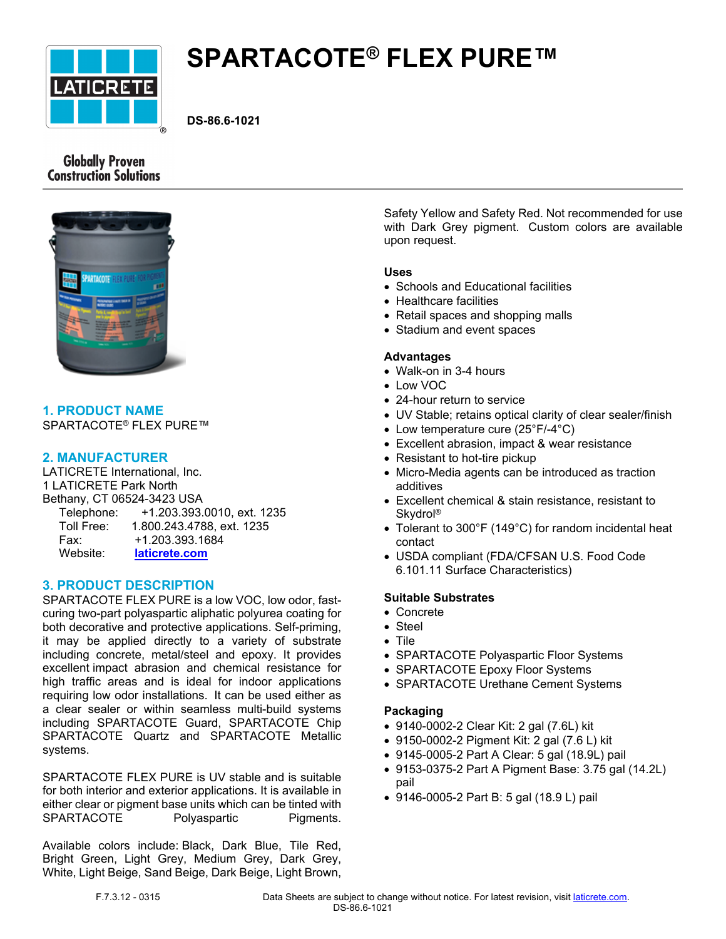

# **SPARTACOTE® FLEX PURE™**

**DS-86.6-1021**

# **Globally Proven Construction Solutions**



## **1. PRODUCT NAME** SPARTACOTE® FLEX PURE™

## **2. MANUFACTURER**

LATICRETE International, Inc. 1 LATICRETE Park North Bethany, CT 06524-3423 USA Telephone: +1.203.393.0010, ext. 1235 Toll Free: 1.800.243.4788, ext. 1235 Fax: +1.203.393.1684 Website: **[laticrete.com](https://laticrete.com/)**

# **3. PRODUCT DESCRIPTION**

SPARTACOTE FLEX PURE is a low VOC, low odor, fastcuring two-part polyaspartic aliphatic polyurea coating for both decorative and protective applications. Self-priming, it may be applied directly to a variety of substrate including concrete, metal/steel and epoxy. It provides excellent impact abrasion and chemical resistance for high traffic areas and is ideal for indoor applications requiring low odor installations. It can be used either as a clear sealer or within seamless multi-build systems including SPARTACOTE Guard, SPARTACOTE Chip SPARTACOTE Quartz and SPARTACOTE Metallic systems.

SPARTACOTE FLEX PURE is UV stable and is suitable for both interior and exterior applications. It is available in either clear or pigment base units which can be tinted with SPARTACOTE Polyaspartic Pigments.

Available colors include: Black, Dark Blue, Tile Red, Bright Green, Light Grey, Medium Grey, Dark Grey, White, Light Beige, Sand Beige, Dark Beige, Light Brown, Safety Yellow and Safety Red. Not recommended for use with Dark Grey pigment. Custom colors are available upon request.

#### **Uses**

- Schools and Educational facilities
- Healthcare facilities
- Retail spaces and shopping malls
- Stadium and event spaces

#### **Advantages**

- Walk-on in 3-4 hours
- Low VOC
- 24-hour return to service
- UV Stable; retains optical clarity of clear sealer/finish
- Low temperature cure (25°F/-4°C)
- Excellent abrasion, impact & wear resistance
- Resistant to hot-tire pickup
- Micro-Media agents can be introduced as traction additives
- Excellent chemical & stain resistance, resistant to Skydrol®
- Tolerant to 300°F (149°C) for random incidental heat contact
- USDA compliant (FDA/CFSAN U.S. Food Code 6.101.11 Surface Characteristics)

# **Suitable Substrates**

- Concrete
- Steel
- Tile
- SPARTACOTE Polyaspartic Floor Systems
- SPARTACOTE Epoxy Floor Systems
- SPARTACOTE Urethane Cement Systems

## **Packaging**

- 9140-0002-2 Clear Kit: 2 gal (7.6L) kit
- 9150-0002-2 Pigment Kit: 2 gal (7.6 L) kit
- 9145-0005-2 Part A Clear: 5 gal (18.9L) pail
- 9153-0375-2 Part A Pigment Base: 3.75 gal (14.2L) pail
- 9146-0005-2 Part B: 5 gal (18.9 L) pail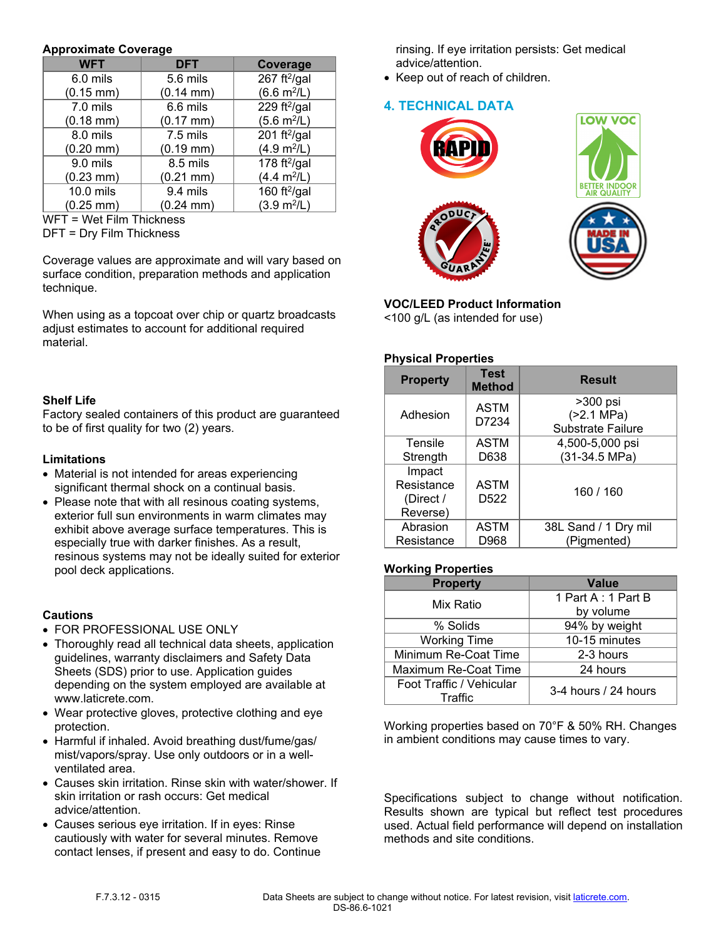#### **Approximate Coverage**

| <b>WFT</b>            | <b>DFT</b>            | Coverage                     |
|-----------------------|-----------------------|------------------------------|
| 6.0 mils              | 5.6 mils              | 267 ft $^{2}/$ gal           |
| $(0.15 \, \text{mm})$ | $(0.14 \, \text{mm})$ | $(6.6 \text{ m}^2/\text{L})$ |
| 7.0 mils              | 6.6 mils              | 229 ft $^{2}/$ gal           |
| $(0.18 \text{ mm})$   | $(0.17 \, \text{mm})$ | $(5.6 \text{ m}^2/\text{L})$ |
| 8.0 mils              | 7.5 mils              | 201 ft²/gal                  |
| $(0.20$ mm $)$        | $(0.19$ mm $)$        | (4.9 m <sup>2</sup> /L)      |
| 9.0 mils              | 8.5 mils              | 178 ft <sup>2</sup> /gal     |
| $(0.23 \text{ mm})$   | $(0.21$ mm $)$        | $(4.4 \text{ m}^2/\text{L})$ |
| 10.0 mils             | 9.4 mils              | 160 ft $^{2}/$ gal           |
| $(0.25 \, \text{mm})$ | $(0.24 \, \text{mm})$ | $(3.9 \text{ m}^2/\text{L})$ |

WFT = Wet Film Thickness

DFT = Dry Film Thickness

Coverage values are approximate and will vary based on surface condition, preparation methods and application technique.

When using as a topcoat over chip or quartz broadcasts adjust estimates to account for additional required material.

## **Shelf Life**

Factory sealed containers of this product are guaranteed to be of first quality for two (2) years.

#### **Limitations**

- Material is not intended for areas experiencing significant thermal shock on a continual basis.
- Please note that with all resinous coating systems, exterior full sun environments in warm climates may exhibit above average surface temperatures. This is especially true with darker finishes. As a result, resinous systems may not be ideally suited for exterior pool deck applications.

## **Cautions**

- FOR PROFESSIONAL USE ONLY
- Thoroughly read all technical data sheets, application guidelines, warranty disclaimers and Safety Data Sheets (SDS) prior to use. Application guides depending on the system employed are available at www.laticrete.com.
- Wear protective gloves, protective clothing and eye protection.
- Harmful if inhaled. Avoid breathing dust/fume/gas/ mist/vapors/spray. Use only outdoors or in a wellventilated area.
- Causes skin irritation. Rinse skin with water/shower. If skin irritation or rash occurs: Get medical advice/attention.
- Causes serious eye irritation. If in eyes: Rinse cautiously with water for several minutes. Remove contact lenses, if present and easy to do. Continue

rinsing. If eye irritation persists: Get medical advice/attention.

• Keep out of reach of children.

# **4. TECHNICAL DATA**



#### **VOC/LEED Product Information** <100 g/L (as intended for use)

# **Physical Properties**

| <b>Test</b><br><b>Method</b>    | <b>Result</b>                                        |
|---------------------------------|------------------------------------------------------|
| <b>ASTM</b><br>D7234            | >300 psi<br>( > 2.1 MPa)<br><b>Substrate Failure</b> |
| <b>ASTM</b><br>D638             | 4,500-5,000 psi<br>(31-34.5 MPa)                     |
| <b>ASTM</b><br>D <sub>522</sub> | 160 / 160                                            |
| <b>ASTM</b>                     | 38L Sand / 1 Dry mil<br>(Pigmented)                  |
|                                 | D968                                                 |

## **Working Properties**

| <b>Property</b>                     | Value                |
|-------------------------------------|----------------------|
| Mix Ratio                           | 1 Part A: 1 Part B   |
|                                     | by volume            |
| % Solids                            | 94% by weight        |
| <b>Working Time</b>                 | 10-15 minutes        |
| Minimum Re-Coat Time                | 2-3 hours            |
| Maximum Re-Coat Time                | 24 hours             |
| Foot Traffic / Vehicular<br>Traffic | 3-4 hours / 24 hours |

Working properties based on 70°F & 50% RH. Changes in ambient conditions may cause times to vary.

Specifications subject to change without notification. Results shown are typical but reflect test procedures used. Actual field performance will depend on installation methods and site conditions.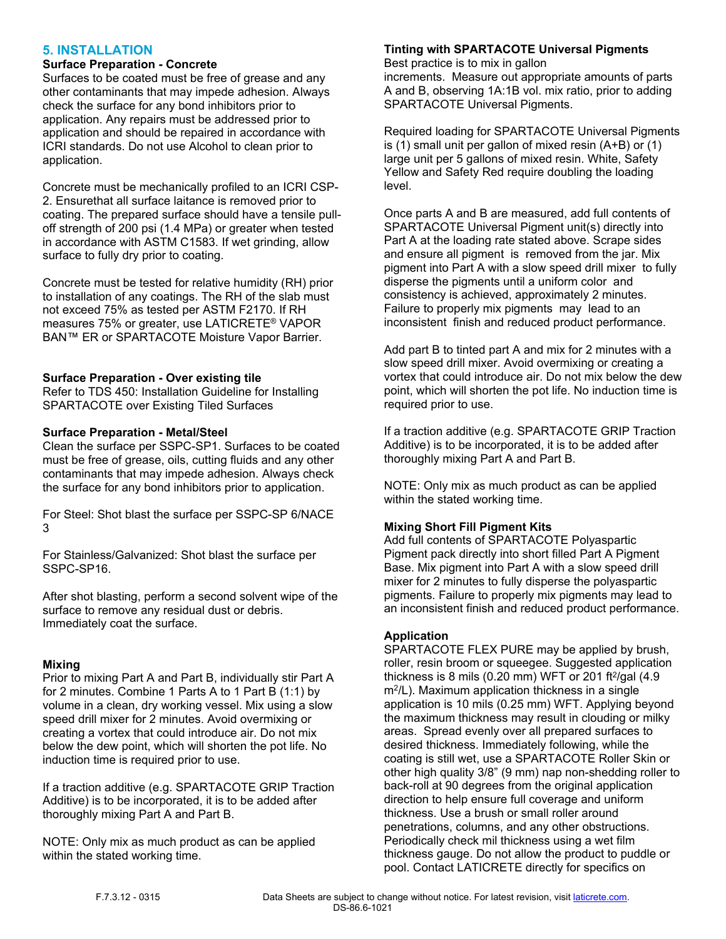## **5. INSTALLATION**

## **Surface Preparation - Concrete**

Surfaces to be coated must be free of grease and any other contaminants that may impede adhesion. Always check the surface for any bond inhibitors prior to application. Any repairs must be addressed prior to application and should be repaired in accordance with ICRI standards. Do not use Alcohol to clean prior to application.

Concrete must be mechanically profiled to an ICRI CSP-2. Ensurethat all surface laitance is removed prior to coating. The prepared surface should have a tensile pulloff strength of 200 psi (1.4 MPa) or greater when tested in accordance with ASTM C1583. If wet grinding, allow surface to fully dry prior to coating.

Concrete must be tested for relative humidity (RH) prior to installation of any coatings. The RH of the slab must not exceed 75% as tested per ASTM F2170. If RH measures 75% or greater, use LATICRETE® VAPOR BAN™ ER or SPARTACOTE Moisture Vapor Barrier.

#### **Surface Preparation - Over existing tile**

Refer to TDS 450: Installation Guideline for Installing SPARTACOTE over Existing Tiled Surfaces

#### **Surface Preparation - Metal/Steel**

Clean the surface per SSPC-SP1. Surfaces to be coated must be free of grease, oils, cutting fluids and any other contaminants that may impede adhesion. Always check the surface for any bond inhibitors prior to application.

For Steel: Shot blast the surface per SSPC-SP 6/NACE 3

For Stainless/Galvanized: Shot blast the surface per SSPC-SP16.

After shot blasting, perform a second solvent wipe of the surface to remove any residual dust or debris. Immediately coat the surface.

## **Mixing**

Prior to mixing Part A and Part B, individually stir Part A for 2 minutes. Combine 1 Parts A to 1 Part B (1:1) by volume in a clean, dry working vessel. Mix using a slow speed drill mixer for 2 minutes. Avoid overmixing or creating a vortex that could introduce air. Do not mix below the dew point, which will shorten the pot life. No induction time is required prior to use.

If a traction additive (e.g. SPARTACOTE GRIP Traction Additive) is to be incorporated, it is to be added after thoroughly mixing Part A and Part B.

NOTE: Only mix as much product as can be applied within the stated working time.

## **Tinting with SPARTACOTE Universal Pigments**

Best practice is to mix in gallon increments. Measure out appropriate amounts of parts A and B, observing 1A:1B vol. mix ratio, prior to adding SPARTACOTE Universal Pigments.

Required loading for SPARTACOTE Universal Pigments is (1) small unit per gallon of mixed resin (A+B) or (1) large unit per 5 gallons of mixed resin. White, Safety Yellow and Safety Red require doubling the loading level.

Once parts A and B are measured, add full contents of SPARTACOTE Universal Pigment unit(s) directly into Part A at the loading rate stated above. Scrape sides and ensure all pigment is removed from the jar. Mix pigment into Part A with a slow speed drill mixer to fully disperse the pigments until a uniform color and consistency is achieved, approximately 2 minutes. Failure to properly mix pigments may lead to an inconsistent finish and reduced product performance.

Add part B to tinted part A and mix for 2 minutes with a slow speed drill mixer. Avoid overmixing or creating a vortex that could introduce air. Do not mix below the dew point, which will shorten the pot life. No induction time is required prior to use.

If a traction additive (e.g. SPARTACOTE GRIP Traction Additive) is to be incorporated, it is to be added after thoroughly mixing Part A and Part B.

NOTE: Only mix as much product as can be applied within the stated working time.

# **Mixing Short Fill Pigment Kits**

Add full contents of SPARTACOTE Polyaspartic Pigment pack directly into short filled Part A Pigment Base. Mix pigment into Part A with a slow speed drill mixer for 2 minutes to fully disperse the polyaspartic pigments. Failure to properly mix pigments may lead to an inconsistent finish and reduced product performance.

## **Application**

SPARTACOTE FLEX PURE may be applied by brush, roller, resin broom or squeegee. Suggested application thickness is 8 mils (0.20 mm) WFT or 201 ft $^2$ /gal (4.9 m<sup>2</sup> /L). Maximum application thickness in a single application is 10 mils (0.25 mm) WFT. Applying beyond the maximum thickness may result in clouding or milky areas. Spread evenly over all prepared surfaces to desired thickness. Immediately following, while the coating is still wet, use a SPARTACOTE Roller Skin or other high quality 3/8" (9 mm) nap non-shedding roller to back-roll at 90 degrees from the original application direction to help ensure full coverage and uniform thickness. Use a brush or small roller around penetrations, columns, and any other obstructions. Periodically check mil thickness using a wet film thickness gauge. Do not allow the product to puddle or pool. Contact LATICRETE directly for specifics on